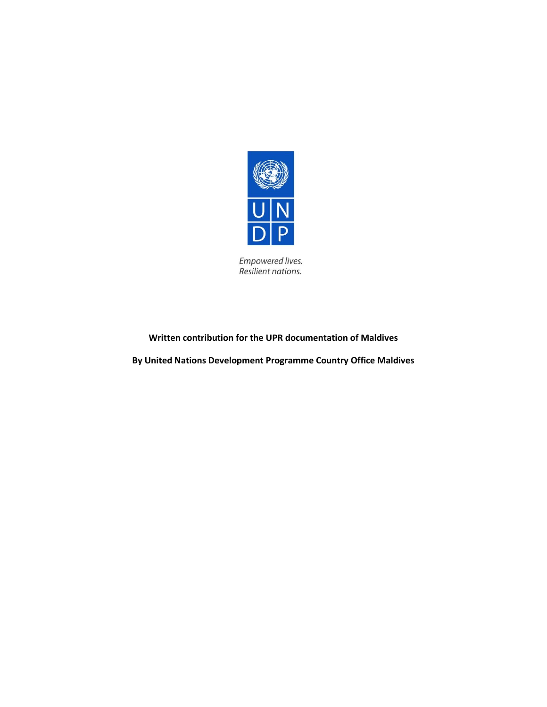

Empowered lives.<br>Resilient nations.

## **Written contribution for the UPR documentation of Maldives**

**By United Nations Development Programme Country Office Maldives**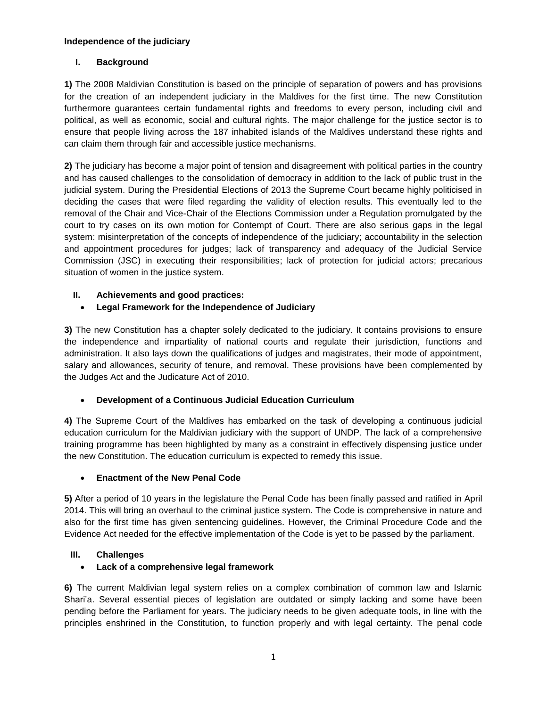#### **Independence of the judiciary**

### **I. Background**

**1)** The 2008 Maldivian Constitution is based on the principle of separation of powers and has provisions for the creation of an independent judiciary in the Maldives for the first time. The new Constitution furthermore guarantees certain fundamental rights and freedoms to every person, including civil and political, as well as economic, social and cultural rights. The major challenge for the justice sector is to ensure that people living across the 187 inhabited islands of the Maldives understand these rights and can claim them through fair and accessible justice mechanisms.

**2)** The judiciary has become a major point of tension and disagreement with political parties in the country and has caused challenges to the consolidation of democracy in addition to the lack of public trust in the judicial system. During the Presidential Elections of 2013 the Supreme Court became highly politicised in deciding the cases that were filed regarding the validity of election results. This eventually led to the removal of the Chair and Vice-Chair of the Elections Commission under a Regulation promulgated by the court to try cases on its own motion for Contempt of Court. There are also serious gaps in the legal system: misinterpretation of the concepts of independence of the judiciary; accountability in the selection and appointment procedures for judges; lack of transparency and adequacy of the Judicial Service Commission (JSC) in executing their responsibilities; lack of protection for judicial actors; precarious situation of women in the justice system.

### **II. Achievements and good practices:**

# **Legal Framework for the Independence of Judiciary**

**3)** The new Constitution has a chapter solely dedicated to the judiciary. It contains provisions to ensure the independence and impartiality of national courts and regulate their jurisdiction, functions and administration. It also lays down the qualifications of judges and magistrates, their mode of appointment, salary and allowances, security of tenure, and removal. These provisions have been complemented by the Judges Act and the Judicature Act of 2010.

#### **Development of a Continuous Judicial Education Curriculum**

**4)** The Supreme Court of the Maldives has embarked on the task of developing a continuous judicial education curriculum for the Maldivian judiciary with the support of UNDP. The lack of a comprehensive training programme has been highlighted by many as a constraint in effectively dispensing justice under the new Constitution. The education curriculum is expected to remedy this issue.

#### **Enactment of the New Penal Code**

**5)** After a period of 10 years in the legislature the Penal Code has been finally passed and ratified in April 2014. This will bring an overhaul to the criminal justice system. The Code is comprehensive in nature and also for the first time has given sentencing guidelines. However, the Criminal Procedure Code and the Evidence Act needed for the effective implementation of the Code is yet to be passed by the parliament.

#### **III. Challenges**

#### **Lack of a comprehensive legal framework**

**6)** The current Maldivian legal system relies on a complex combination of common law and Islamic Shari'a. Several essential pieces of legislation are outdated or simply lacking and some have been pending before the Parliament for years. The judiciary needs to be given adequate tools, in line with the principles enshrined in the Constitution, to function properly and with legal certainty. The penal code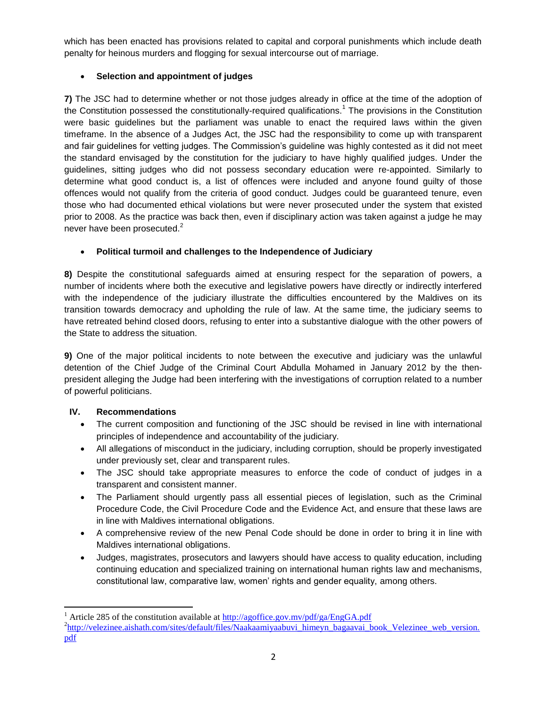which has been enacted has provisions related to capital and corporal punishments which include death penalty for heinous murders and flogging for sexual intercourse out of marriage.

# **Selection and appointment of judges**

**7)** The JSC had to determine whether or not those judges already in office at the time of the adoption of the Constitution possessed the constitutionally-required qualifications.<sup>1</sup> The provisions in the Constitution were basic guidelines but the parliament was unable to enact the required laws within the given timeframe. In the absence of a Judges Act, the JSC had the responsibility to come up with transparent and fair guidelines for vetting judges. The Commission's guideline was highly contested as it did not meet the standard envisaged by the constitution for the judiciary to have highly qualified judges. Under the guidelines, sitting judges who did not possess secondary education were re-appointed. Similarly to determine what good conduct is, a list of offences were included and anyone found guilty of those offences would not qualify from the criteria of good conduct. Judges could be guaranteed tenure, even those who had documented ethical violations but were never prosecuted under the system that existed prior to 2008. As the practice was back then, even if disciplinary action was taken against a judge he may never have been prosecuted. $2^2$ 

### **Political turmoil and challenges to the Independence of Judiciary**

**8)** Despite the constitutional safeguards aimed at ensuring respect for the separation of powers, a number of incidents where both the executive and legislative powers have directly or indirectly interfered with the independence of the judiciary illustrate the difficulties encountered by the Maldives on its transition towards democracy and upholding the rule of law. At the same time, the judiciary seems to have retreated behind closed doors, refusing to enter into a substantive dialogue with the other powers of the State to address the situation.

**9)** One of the major political incidents to note between the executive and judiciary was the unlawful detention of the Chief Judge of the Criminal Court Abdulla Mohamed in January 2012 by the thenpresident alleging the Judge had been interfering with the investigations of corruption related to a number of powerful politicians.

# **IV. Recommendations**

 $\overline{\phantom{a}}$ 

- The current composition and functioning of the JSC should be revised in line with international principles of independence and accountability of the judiciary.
- All allegations of misconduct in the judiciary, including corruption, should be properly investigated under previously set, clear and transparent rules.
- The JSC should take appropriate measures to enforce the code of conduct of judges in a transparent and consistent manner.
- The Parliament should urgently pass all essential pieces of legislation, such as the Criminal Procedure Code, the Civil Procedure Code and the Evidence Act, and ensure that these laws are in line with Maldives international obligations.
- A comprehensive review of the new Penal Code should be done in order to bring it in line with Maldives international obligations.
- Judges, magistrates, prosecutors and lawyers should have access to quality education, including continuing education and specialized training on international human rights law and mechanisms, constitutional law, comparative law, women' rights and gender equality, among others.

<sup>&</sup>lt;sup>1</sup> Article 285 of the constitution available at  $\frac{http://agoffic.gov.mv/pdf/ga/EngGA.pdf}{http://agoffic.gov.mv/pdf/ga/EngGA.pdf}$ <sup>2</sup>[http://velezinee.aishath.com/sites/default/files/Naakaamiyaabuvi\\_himeyn\\_bagaavai\\_book\\_Velezinee\\_web\\_version.](http://velezinee.aishath.com/sites/default/files/Naakaamiyaabuvi_himeyn_bagaavai_book_Velezinee_web_version.pdf) [pdf](http://velezinee.aishath.com/sites/default/files/Naakaamiyaabuvi_himeyn_bagaavai_book_Velezinee_web_version.pdf)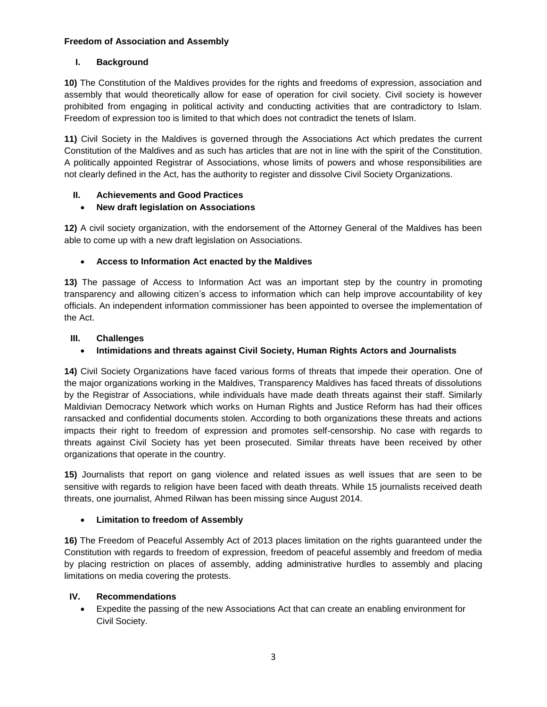#### **Freedom of Association and Assembly**

# **I. Background**

**10)** The Constitution of the Maldives provides for the rights and freedoms of expression, association and assembly that would theoretically allow for ease of operation for civil society. Civil society is however prohibited from engaging in political activity and conducting activities that are contradictory to Islam. Freedom of expression too is limited to that which does not contradict the tenets of Islam.

**11)** Civil Society in the Maldives is governed through the Associations Act which predates the current Constitution of the Maldives and as such has articles that are not in line with the spirit of the Constitution. A politically appointed Registrar of Associations, whose limits of powers and whose responsibilities are not clearly defined in the Act, has the authority to register and dissolve Civil Society Organizations.

### **II. Achievements and Good Practices**

### **New draft legislation on Associations**

**12)** A civil society organization, with the endorsement of the Attorney General of the Maldives has been able to come up with a new draft legislation on Associations.

### **Access to Information Act enacted by the Maldives**

**13)** The passage of Access to Information Act was an important step by the country in promoting transparency and allowing citizen's access to information which can help improve accountability of key officials. An independent information commissioner has been appointed to oversee the implementation of the Act.

### **III. Challenges**

# **Intimidations and threats against Civil Society, Human Rights Actors and Journalists**

**14)** Civil Society Organizations have faced various forms of threats that impede their operation. One of the major organizations working in the Maldives, Transparency Maldives has faced threats of dissolutions by the Registrar of Associations, while individuals have made death threats against their staff. Similarly Maldivian Democracy Network which works on Human Rights and Justice Reform has had their offices ransacked and confidential documents stolen. According to both organizations these threats and actions impacts their right to freedom of expression and promotes self-censorship. No case with regards to threats against Civil Society has yet been prosecuted. Similar threats have been received by other organizations that operate in the country.

**15)** Journalists that report on gang violence and related issues as well issues that are seen to be sensitive with regards to religion have been faced with death threats. While 15 journalists received death threats, one journalist, Ahmed Rilwan has been missing since August 2014.

#### **Limitation to freedom of Assembly**

**16)** The Freedom of Peaceful Assembly Act of 2013 places limitation on the rights guaranteed under the Constitution with regards to freedom of expression, freedom of peaceful assembly and freedom of media by placing restriction on places of assembly, adding administrative hurdles to assembly and placing limitations on media covering the protests.

#### **IV. Recommendations**

 Expedite the passing of the new Associations Act that can create an enabling environment for Civil Society.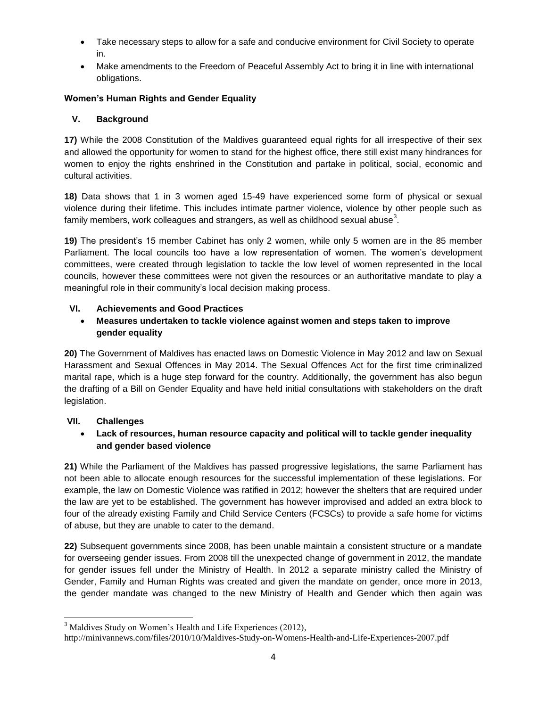- Take necessary steps to allow for a safe and conducive environment for Civil Society to operate in.
- Make amendments to the Freedom of Peaceful Assembly Act to bring it in line with international obligations.

## **Women's Human Rights and Gender Equality**

### **V. Background**

**17)** While the 2008 Constitution of the Maldives guaranteed equal rights for all irrespective of their sex and allowed the opportunity for women to stand for the highest office, there still exist many hindrances for women to enjoy the rights enshrined in the Constitution and partake in political, social, economic and cultural activities.

**18)** Data shows that 1 in 3 women aged 15-49 have experienced some form of physical or sexual violence during their lifetime. This includes intimate partner violence, violence by other people such as family members, work colleagues and strangers, as well as childhood sexual abuse $^3\!$ 

**19)** The president's 15 member Cabinet has only 2 women, while only 5 women are in the 85 member Parliament. The local councils too have a low representation of women. The women's development committees, were created through legislation to tackle the low level of women represented in the local councils, however these committees were not given the resources or an authoritative mandate to play a meaningful role in their community's local decision making process.

### **VI. Achievements and Good Practices**

## **Measures undertaken to tackle violence against women and steps taken to improve gender equality**

**20)** The Government of Maldives has enacted laws on Domestic Violence in May 2012 and law on Sexual Harassment and Sexual Offences in May 2014. The Sexual Offences Act for the first time criminalized marital rape, which is a huge step forward for the country. Additionally, the government has also begun the drafting of a Bill on Gender Equality and have held initial consultations with stakeholders on the draft legislation.

#### **VII. Challenges**

### **Lack of resources, human resource capacity and political will to tackle gender inequality and gender based violence**

**21)** While the Parliament of the Maldives has passed progressive legislations, the same Parliament has not been able to allocate enough resources for the successful implementation of these legislations. For example, the law on Domestic Violence was ratified in 2012; however the shelters that are required under the law are yet to be established. The government has however improvised and added an extra block to four of the already existing Family and Child Service Centers (FCSCs) to provide a safe home for victims of abuse, but they are unable to cater to the demand.

**22)** Subsequent governments since 2008, has been unable maintain a consistent structure or a mandate for overseeing gender issues. From 2008 till the unexpected change of government in 2012, the mandate for gender issues fell under the Ministry of Health. In 2012 a separate ministry called the Ministry of Gender, Family and Human Rights was created and given the mandate on gender, once more in 2013, the gender mandate was changed to the new Ministry of Health and Gender which then again was

 $\overline{\phantom{a}}$ <sup>3</sup> Maldives Study on Women's Health and Life Experiences (2012),

http://minivannews.com/files/2010/10/Maldives-Study-on-Womens-Health-and-Life-Experiences-2007.pdf